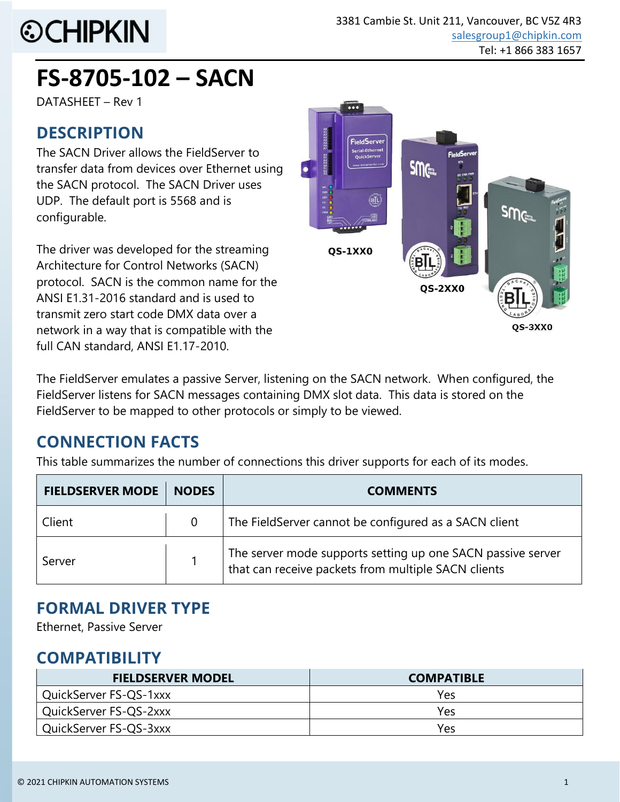

# **FS-8705-102 – SACN**

DATASHEET – Rev 1

### **DESCRIPTION**

The SACN Driver allows the FieldServer to transfer data from devices over Ethernet using the SACN protocol. The SACN Driver uses UDP. The default port is 5568 and is configurable.

The driver was developed for the streaming Architecture for Control Networks (SACN) protocol. SACN is the common name for the ANSI E1.31-2016 standard and is used to transmit zero start code DMX data over a network in a way that is compatible with the full CAN standard, ANSI E1.17-2010.



The FieldServer emulates a passive Server, listening on the SACN network. When configured, the FieldServer listens for SACN messages containing DMX slot data. This data is stored on the FieldServer to be mapped to other protocols or simply to be viewed.

## **CONNECTION FACTS**

This table summarizes the number of connections this driver supports for each of its modes.

| <b>FIELDSERVER MODE</b> | <b>NODES</b>   | <b>COMMENTS</b>                                                                                                    |  |
|-------------------------|----------------|--------------------------------------------------------------------------------------------------------------------|--|
| Client                  | $\overline{0}$ | The FieldServer cannot be configured as a SACN client                                                              |  |
| Server                  |                | The server mode supports setting up one SACN passive server<br>that can receive packets from multiple SACN clients |  |

## **FORMAL DRIVER TYPE**

Ethernet, Passive Server

## **COMPATIBILITY**

| <b>FIELDSERVER MODEL</b> | <b>COMPATIBLE</b> |
|--------------------------|-------------------|
| QuickServer FS-QS-1xxx   | Yes               |
| QuickServer FS-QS-2xxx   | Yes               |
| QuickServer FS-QS-3xxx   | Yes               |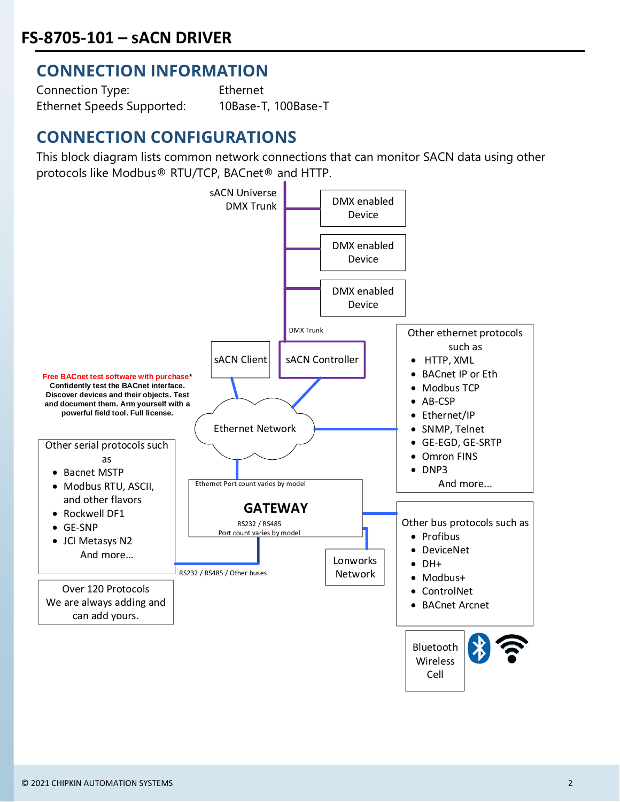#### **CONNECTION INFORMATION**

Connection Type: Ethernet Ethernet Speeds Supported: 10Base-T, 100Base-T

## **CONNECTION CONFIGURATIONS**

This block diagram lists common network connections that can monitor SACN data using other protocols like Modbus® RTU/TCP, BACnet® and HTTP.

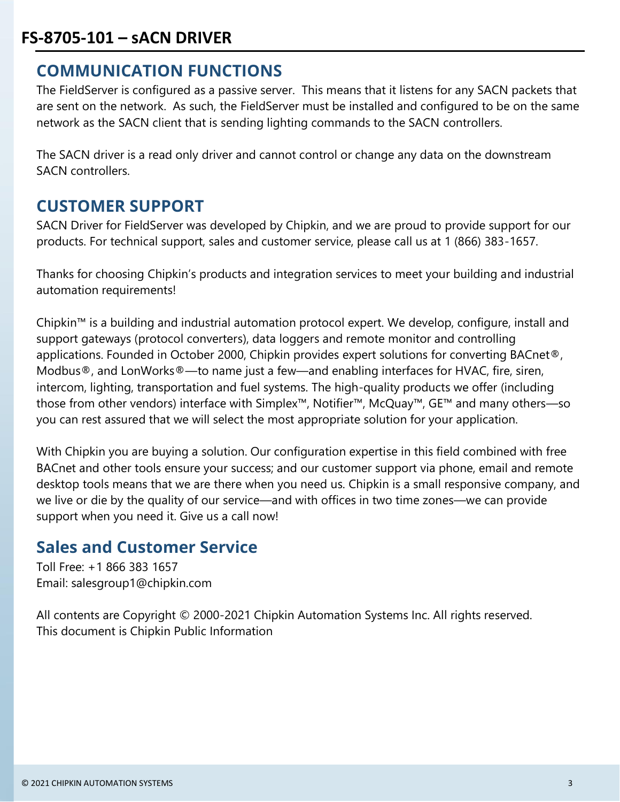### **FS-8705-101 – sACN DRIVER**

#### **COMMUNICATION FUNCTIONS**

The FieldServer is configured as a passive server. This means that it listens for any SACN packets that are sent on the network. As such, the FieldServer must be installed and configured to be on the same network as the SACN client that is sending lighting commands to the SACN controllers.

The SACN driver is a read only driver and cannot control or change any data on the downstream SACN controllers.

#### **CUSTOMER SUPPORT**

SACN Driver for FieldServer was developed by Chipkin, and we are proud to provide support for our products. For technical support, sales and customer service, please call us at 1 (866) 383-1657.

Thanks for choosing Chipkin's products and integration services to meet your building and industrial automation requirements!

Chipkin™ is a building and industrial automation protocol expert. We develop, configure, install and support gateways (protocol converters), data loggers and remote monitor and controlling applications. Founded in October 2000, Chipkin provides expert solutions for converting BACnet®, Modbus®, and LonWorks®—to name just a few—and enabling interfaces for HVAC, fire, siren, intercom, lighting, transportation and fuel systems. The high-quality products we offer (including those from other vendors) interface with Simplex™, Notifier™, McQuay™, GE™ and many others—so you can rest assured that we will select the most appropriate solution for your application.

With Chipkin you are buying a solution. Our configuration expertise in this field combined with free BACnet and other tools ensure your success; and our customer support via phone, email and remote desktop tools means that we are there when you need us. Chipkin is a small responsive company, and we live or die by the quality of our service—and with offices in two time zones—we can provide support when you need it. Give us a call now!

#### **Sales and Customer Service**

Toll Free: +1 866 383 1657 Email: salesgroup1@chipkin.com

All contents are Copyright © 2000-2021 Chipkin Automation Systems Inc. All rights reserved. This document is Chipkin Public Information